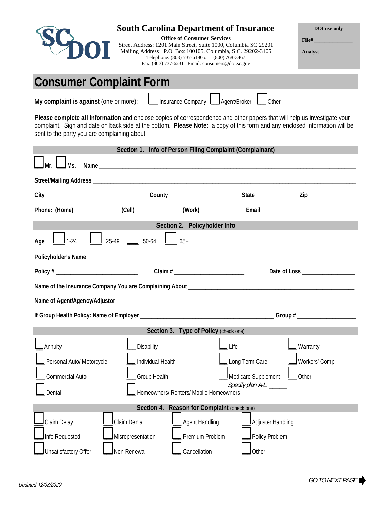

**Please complete all information** and enclose copies of correspondence and other papers that will help us investigate your complaint. Sign and date on back side at the bottom. **Please Note:** a copy of this form and any enclosed information will be sent to the party you are complaining about.

|                                               |                                        | Section 1. Info of Person Filing Complaint (Complainant) |                         |                           |  |
|-----------------------------------------------|----------------------------------------|----------------------------------------------------------|-------------------------|---------------------------|--|
| Ms.                                           |                                        |                                                          |                         |                           |  |
|                                               |                                        |                                                          |                         |                           |  |
|                                               |                                        | County ______________________                            | State _________         | Zip ________________      |  |
|                                               |                                        |                                                          |                         |                           |  |
| Section 2. Policyholder Info                  |                                        |                                                          |                         |                           |  |
| $1 - 24$<br>Age                               | $\frac{1}{50.64}$<br>25-49             | $65+$                                                    |                         |                           |  |
|                                               |                                        |                                                          |                         |                           |  |
|                                               |                                        |                                                          |                         |                           |  |
|                                               |                                        |                                                          |                         |                           |  |
|                                               |                                        |                                                          |                         |                           |  |
|                                               |                                        |                                                          |                         |                           |  |
| Section 3. Type of Policy (check one)         |                                        |                                                          |                         |                           |  |
| <b>J</b> Annuity<br>Personal Auto/ Motorcycle | <b>Disability</b><br>Individual Health |                                                          | Life<br>Long Term Care  | Warranty<br>Workers' Comp |  |
| Commercial Auto                               | Medicare Supplement<br>Group Health    |                                                          | $\Box$ Other            |                           |  |
| Dental                                        |                                        | Homeowners/ Renters/ Mobile Homeowners                   | Specify plan A-L: _____ |                           |  |
| Section 4. Reason for Complaint (check one)   |                                        |                                                          |                         |                           |  |
| Claim Delay                                   | Claim Denial                           | Agent Handling                                           | Adjuster Handling       |                           |  |
| Info Requested                                | Misrepresentation                      | Premium Problem                                          | Policy Problem          |                           |  |
| <b>Unsatisfactory Offer</b>                   | Non-Renewal                            | Cancellation                                             | Other                   |                           |  |

**DOI use only** 

**File# \_\_\_\_\_\_\_\_\_\_\_\_\_\_\_ Analyst \_\_\_\_\_\_\_\_\_\_\_\_\_**